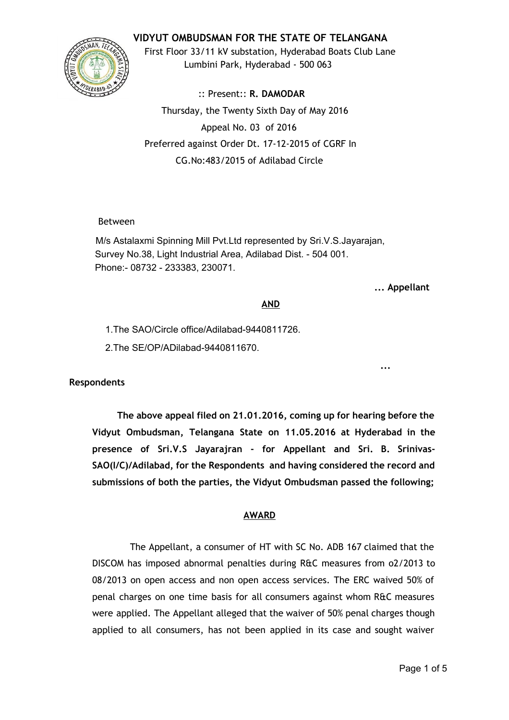# **VIDYUT OMBUDSMAN FOR THE STATE OF TELANGANA**



First Floor 33/11 kV substation, Hyderabad Boats Club Lane Lumbini Park, Hyderabad ‐ 500 063

:: Present:: **R. DAMODAR** Thursday, the Twenty Sixth Day of May 2016 Appeal No. 03 of 2016 Preferred against Order Dt. 17‐12‐2015 of CGRF In CG.No:483/2015 of Adilabad Circle

# Between

M/s Astalaxmi Spinning Mill Pvt.Ltd represented by Sri.V.S.Jayarajan, Survey No.38, Light Industrial Area, Adilabad Dist. - 504 001. Phone:- 08732 - 233383, 230071.

#### **... Appellant**

**...**

## **AND**

1. The SAO/Circle office/Adilabad-9440811726.

2. The SE/OP/ADilabad-9440811670.

**Respondents**

**The above appeal filed on 21.01.2016, coming up for hearing before the Vidyut Ombudsman, Telangana State on 11.05.2016 at Hyderabad in the presence of Sri.V.S Jayarajran ‐ for Appellant and Sri. B. Srinivas‐ SAO(I/C)/Adilabad, for the Respondents and having considered the record and submissions of both the parties, the Vidyut Ombudsman passed the following;**

## **AWARD**

The Appellant, a consumer of HT with SC No. ADB 167 claimed that the DISCOM has imposed abnormal penalties during R&C measures from o2/2013 to 08/2013 on open access and non open access services. The ERC waived 50% of penal charges on one time basis for all consumers against whom R&C measures were applied. The Appellant alleged that the waiver of 50% penal charges though applied to all consumers, has not been applied in its case and sought waiver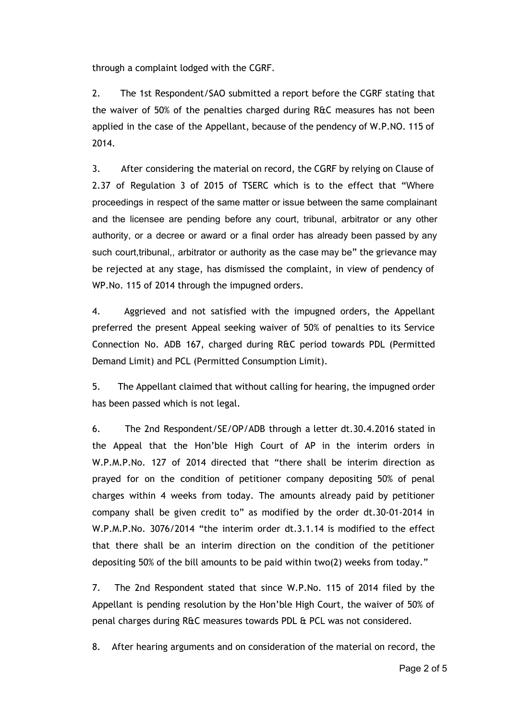through a complaint lodged with the CGRF.

2. The 1st Respondent/SAO submitted a report before the CGRF stating that the waiver of 50% of the penalties charged during R&C measures has not been applied in the case of the Appellant, because of the pendency of W.P.NO. 115 of 2014.

3. After considering the material on record, the CGRF by relying on Clause of 2.37 of Regulation 3 of 2015 of TSERC which is to the effect that "Where proceedings in respect of the same matter or issue between the same complainant and the licensee are pending before any court, tribunal, arbitrator or any other authority, or a decree or award or a final order has already been passed by any such court,tribunal,, arbitrator or authority as the case may be" the grievance may be rejected at any stage, has dismissed the complaint, in view of pendency of WP.No. 115 of 2014 through the impugned orders.

4. Aggrieved and not satisfied with the impugned orders, the Appellant preferred the present Appeal seeking waiver of 50% of penalties to its Service Connection No. ADB 167, charged during R&C period towards PDL (Permitted Demand Limit) and PCL (Permitted Consumption Limit).

5. The Appellant claimed that without calling for hearing, the impugned order has been passed which is not legal.

6. The 2nd Respondent/SE/OP/ADB through a letter dt.30.4.2016 stated in the Appeal that the Hon'ble High Court of AP in the interim orders in W.P.M.P.No. 127 of 2014 directed that "there shall be interim direction as prayed for on the condition of petitioner company depositing 50% of penal charges within 4 weeks from today. The amounts already paid by petitioner company shall be given credit to" as modified by the order dt.30‐01‐2014 in W.P.M.P.No. 3076/2014 "the interim order dt.3.1.14 is modified to the effect that there shall be an interim direction on the condition of the petitioner depositing 50% of the bill amounts to be paid within two(2) weeks from today."

7. The 2nd Respondent stated that since W.P.No. 115 of 2014 filed by the Appellant is pending resolution by the Hon'ble High Court, the waiver of 50% of penal charges during R&C measures towards PDL & PCL was not considered.

8. After hearing arguments and on consideration of the material on record, the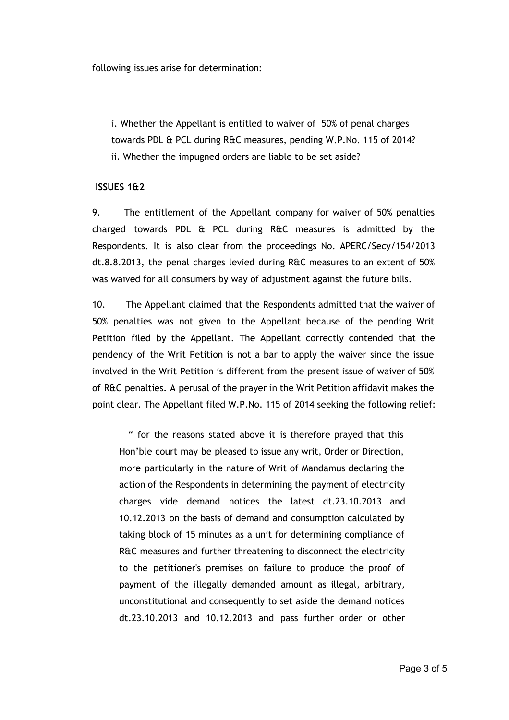following issues arise for determination:

i. Whether the Appellant is entitled to waiver of 50% of penal charges towards PDL & PCL during R&C measures, pending W.P.No. 115 of 2014? ii. Whether the impugned orders are liable to be set aside?

#### **ISSUES 1&2**

9. The entitlement of the Appellant company for waiver of 50% penalties charged towards PDL & PCL during R&C measures is admitted by the Respondents. It is also clear from the proceedings No. APERC/Secy/154/2013 dt.8.8.2013, the penal charges levied during R&C measures to an extent of 50% was waived for all consumers by way of adjustment against the future bills.

10. The Appellant claimed that the Respondents admitted that the waiver of 50% penalties was not given to the Appellant because of the pending Writ Petition filed by the Appellant. The Appellant correctly contended that the pendency of the Writ Petition is not a bar to apply the waiver since the issue involved in the Writ Petition is different from the present issue of waiver of 50% of R&C penalties. A perusal of the prayer in the Writ Petition affidavit makes the point clear. The Appellant filed W.P.No. 115 of 2014 seeking the following relief:

" for the reasons stated above it is therefore prayed that this Hon'ble court may be pleased to issue any writ, Order or Direction, more particularly in the nature of Writ of Mandamus declaring the action of the Respondents in determining the payment of electricity charges vide demand notices the latest dt.23.10.2013 and 10.12.2013 on the basis of demand and consumption calculated by taking block of 15 minutes as a unit for determining compliance of R&C measures and further threatening to disconnect the electricity to the petitioner's premises on failure to produce the proof of payment of the illegally demanded amount as illegal, arbitrary, unconstitutional and consequently to set aside the demand notices dt.23.10.2013 and 10.12.2013 and pass further order or other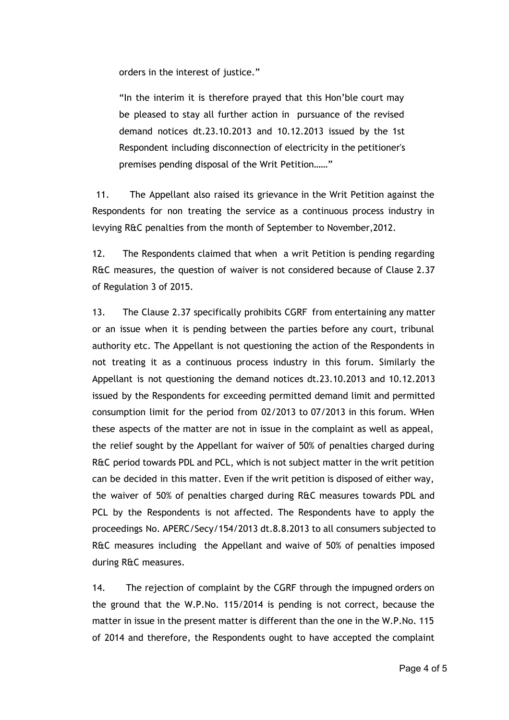orders in the interest of justice."

"In the interim it is therefore prayed that this Hon'ble court may be pleased to stay all further action in pursuance of the revised demand notices dt.23.10.2013 and 10.12.2013 issued by the 1st Respondent including disconnection of electricity in the petitioner's premises pending disposal of the Writ Petition……"

11. The Appellant also raised its grievance in the Writ Petition against the Respondents for non treating the service as a continuous process industry in levying R&C penalties from the month of September to November,2012.

12. The Respondents claimed that when a writ Petition is pending regarding R&C measures, the question of waiver is not considered because of Clause 2.37 of Regulation 3 of 2015.

13. The Clause 2.37 specifically prohibits CGRF from entertaining any matter or an issue when it is pending between the parties before any court, tribunal authority etc. The Appellant is not questioning the action of the Respondents in not treating it as a continuous process industry in this forum. Similarly the Appellant is not questioning the demand notices dt.23.10.2013 and 10.12.2013 issued by the Respondents for exceeding permitted demand limit and permitted consumption limit for the period from 02/2013 to 07/2013 in this forum. WHen these aspects of the matter are not in issue in the complaint as well as appeal, the relief sought by the Appellant for waiver of 50% of penalties charged during R&C period towards PDL and PCL, which is not subject matter in the writ petition can be decided in this matter. Even if the writ petition is disposed of either way, the waiver of 50% of penalties charged during R&C measures towards PDL and PCL by the Respondents is not affected. The Respondents have to apply the proceedings No. APERC/Secy/154/2013 dt.8.8.2013 to all consumers subjected to R&C measures including the Appellant and waive of 50% of penalties imposed during R&C measures.

14. The rejection of complaint by the CGRF through the impugned orders on the ground that the W.P.No. 115/2014 is pending is not correct, because the matter in issue in the present matter is different than the one in the W.P.No. 115 of 2014 and therefore, the Respondents ought to have accepted the complaint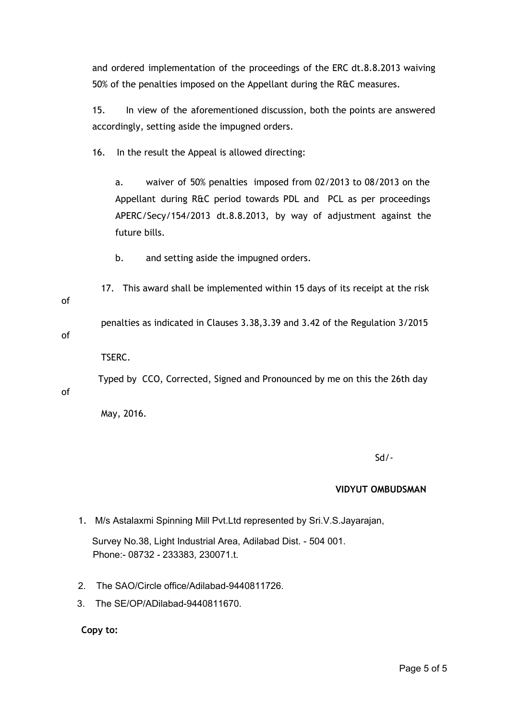and ordered implementation of the proceedings of the ERC dt.8.8.2013 waiving 50% of the penalties imposed on the Appellant during the R&C measures.

15. In view of the aforementioned discussion, both the points are answered accordingly, setting aside the impugned orders.

16. In the result the Appeal is allowed directing:

a. waiver of 50% penalties imposed from 02/2013 to 08/2013 on the Appellant during R&C period towards PDL and PCL as per proceedings APERC/Secy/154/2013 dt.8.8.2013, by way of adjustment against the future bills.

b. and setting aside the impugned orders.

17. This award shall be implemented within 15 days of its receipt at the risk of

penalties as indicated in Clauses 3.38,3.39 and 3.42 of the Regulation 3/2015

of

of

TSERC.

Typed by CCO, Corrected, Signed and Pronounced by me on this the 26th day

May, 2016.

Sd/‐

## **VIDYUT OMBUDSMAN**

1. M/s Astalaxmi Spinning Mill Pvt.Ltd represented by Sri.V.S.Jayarajan,

Survey No.38, Light Industrial Area, Adilabad Dist. - 504 001. Phone:- 08732 - 233383, 230071.t.

- 2. The SAO/Circle office/Adilabad-9440811726.
- 3. The SE/OP/ADilabad-9440811670.

**Copy to:**